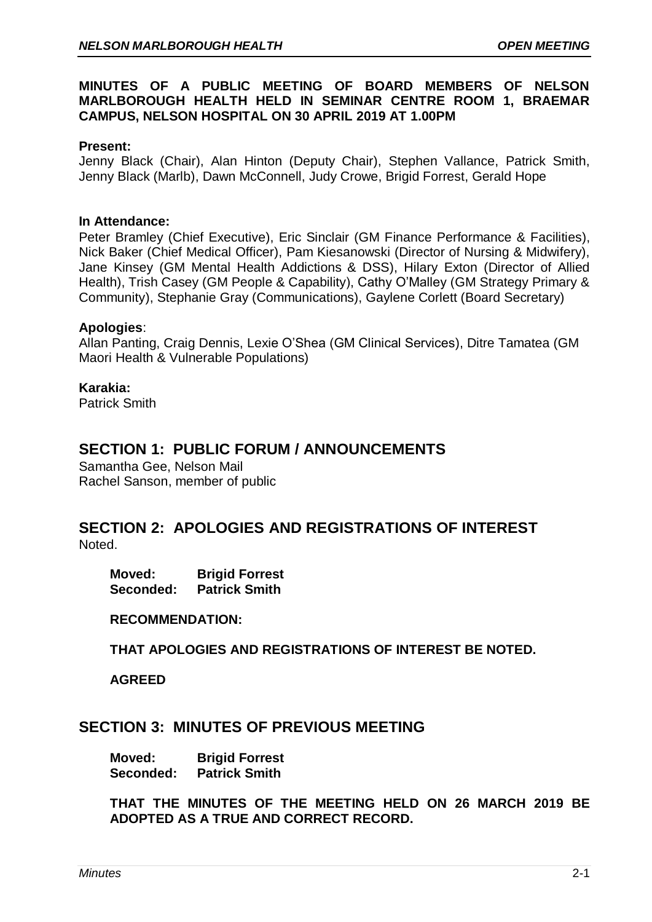## **MINUTES OF A PUBLIC MEETING OF BOARD MEMBERS OF NELSON MARLBOROUGH HEALTH HELD IN SEMINAR CENTRE ROOM 1, BRAEMAR CAMPUS, NELSON HOSPITAL ON 30 APRIL 2019 AT 1.00PM**

#### **Present:**

Jenny Black (Chair), Alan Hinton (Deputy Chair), Stephen Vallance, Patrick Smith, Jenny Black (Marlb), Dawn McConnell, Judy Crowe, Brigid Forrest, Gerald Hope

#### **In Attendance:**

Peter Bramley (Chief Executive), Eric Sinclair (GM Finance Performance & Facilities), Nick Baker (Chief Medical Officer), Pam Kiesanowski (Director of Nursing & Midwifery), Jane Kinsey (GM Mental Health Addictions & DSS), Hilary Exton (Director of Allied Health), Trish Casey (GM People & Capability), Cathy O'Malley (GM Strategy Primary & Community), Stephanie Gray (Communications), Gaylene Corlett (Board Secretary)

#### **Apologies**:

Allan Panting, Craig Dennis, Lexie O'Shea (GM Clinical Services), Ditre Tamatea (GM Maori Health & Vulnerable Populations)

#### **Karakia:**

Patrick Smith

## **SECTION 1: PUBLIC FORUM / ANNOUNCEMENTS**

Samantha Gee, Nelson Mail Rachel Sanson, member of public

# **SECTION 2: APOLOGIES AND REGISTRATIONS OF INTEREST**

Noted.

**Moved: Brigid Forrest Seconded: Patrick Smith**

#### **RECOMMENDATION:**

**THAT APOLOGIES AND REGISTRATIONS OF INTEREST BE NOTED.**

**AGREED**

## **SECTION 3: MINUTES OF PREVIOUS MEETING**

**Moved: Brigid Forrest Seconded: Patrick Smith**

**THAT THE MINUTES OF THE MEETING HELD ON 26 MARCH 2019 BE ADOPTED AS A TRUE AND CORRECT RECORD.**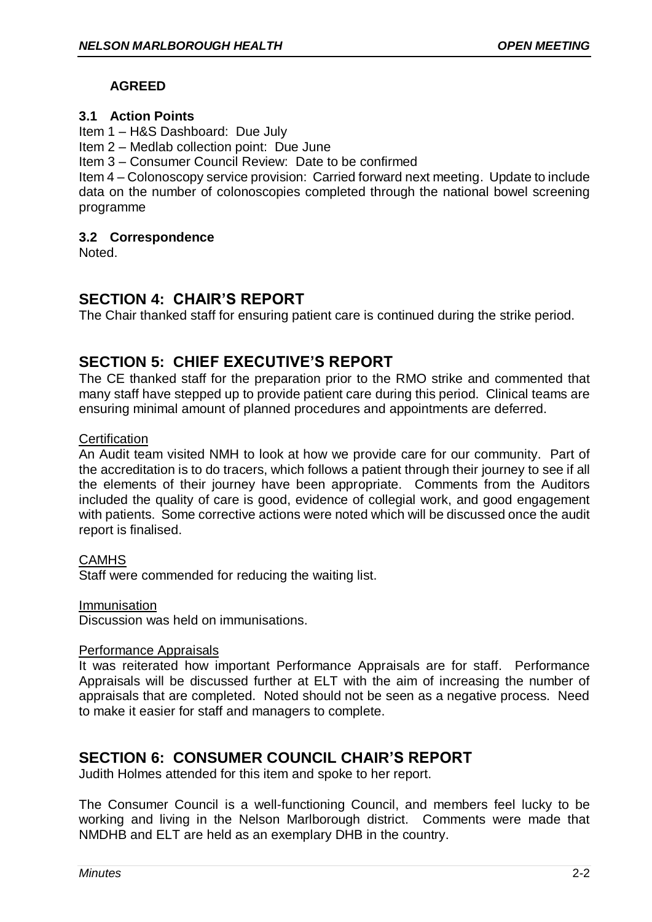## **AGREED**

## **3.1 Action Points**

Item 1 – H&S Dashboard: Due July

Item 2 – Medlab collection point: Due June

Item 3 – Consumer Council Review: Date to be confirmed

Item 4 – Colonoscopy service provision: Carried forward next meeting. Update to include data on the number of colonoscopies completed through the national bowel screening programme

## **3.2 Correspondence**

Noted.

# **SECTION 4: CHAIR'S REPORT**

The Chair thanked staff for ensuring patient care is continued during the strike period.

# **SECTION 5: CHIEF EXECUTIVE'S REPORT**

The CE thanked staff for the preparation prior to the RMO strike and commented that many staff have stepped up to provide patient care during this period. Clinical teams are ensuring minimal amount of planned procedures and appointments are deferred.

## **Certification**

An Audit team visited NMH to look at how we provide care for our community. Part of the accreditation is to do tracers, which follows a patient through their journey to see if all the elements of their journey have been appropriate. Comments from the Auditors included the quality of care is good, evidence of collegial work, and good engagement with patients. Some corrective actions were noted which will be discussed once the audit report is finalised.

## **CAMHS**

Staff were commended for reducing the waiting list.

**Immunisation** 

Discussion was held on immunisations.

## Performance Appraisals

It was reiterated how important Performance Appraisals are for staff. Performance Appraisals will be discussed further at ELT with the aim of increasing the number of appraisals that are completed. Noted should not be seen as a negative process. Need to make it easier for staff and managers to complete.

# **SECTION 6: CONSUMER COUNCIL CHAIR'S REPORT**

Judith Holmes attended for this item and spoke to her report.

The Consumer Council is a well-functioning Council, and members feel lucky to be working and living in the Nelson Marlborough district. Comments were made that NMDHB and ELT are held as an exemplary DHB in the country.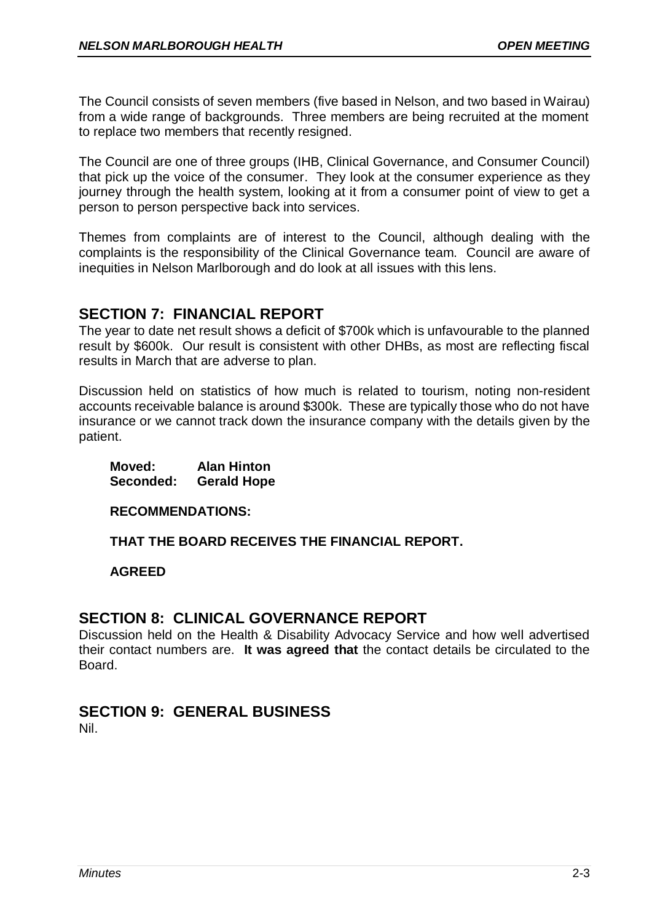The Council consists of seven members (five based in Nelson, and two based in Wairau) from a wide range of backgrounds. Three members are being recruited at the moment to replace two members that recently resigned.

The Council are one of three groups (IHB, Clinical Governance, and Consumer Council) that pick up the voice of the consumer. They look at the consumer experience as they journey through the health system, looking at it from a consumer point of view to get a person to person perspective back into services.

Themes from complaints are of interest to the Council, although dealing with the complaints is the responsibility of the Clinical Governance team. Council are aware of inequities in Nelson Marlborough and do look at all issues with this lens.

# **SECTION 7: FINANCIAL REPORT**

The year to date net result shows a deficit of \$700k which is unfavourable to the planned result by \$600k. Our result is consistent with other DHBs, as most are reflecting fiscal results in March that are adverse to plan.

Discussion held on statistics of how much is related to tourism, noting non-resident accounts receivable balance is around \$300k. These are typically those who do not have insurance or we cannot track down the insurance company with the details given by the patient.

**Moved: Alan Hinton Seconded: Gerald Hope**

**RECOMMENDATIONS:**

**THAT THE BOARD RECEIVES THE FINANCIAL REPORT.**

**AGREED**

## **SECTION 8: CLINICAL GOVERNANCE REPORT**

Discussion held on the Health & Disability Advocacy Service and how well advertised their contact numbers are. **It was agreed that** the contact details be circulated to the Board.

# **SECTION 9: GENERAL BUSINESS**

Nil.